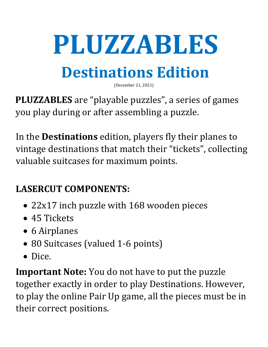# **PLUZZABLES**

# **Destinations Edition**

(December 21, 2021)

**PLUZZABLES** are "playable puzzles", a series of games you play during or after assembling a puzzle.

In the **Destinations** edition, players fly their planes to vintage destinations that match their "tickets", collecting valuable suitcases for maximum points.

# **LASERCUT COMPONENTS:**

- 22x17 inch puzzle with 168 wooden pieces
- 45 Tickets
- 6 Airplanes
- 80 Suitcases (valued 1-6 points)
- Dice.

**Important Note:** You do not have to put the puzzle together exactly in order to play Destinations. However, to play the online Pair Up game, all the pieces must be in their correct positions.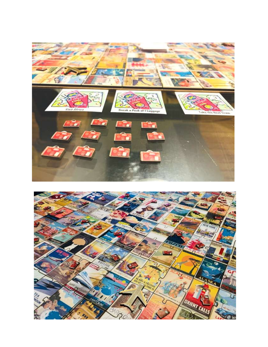

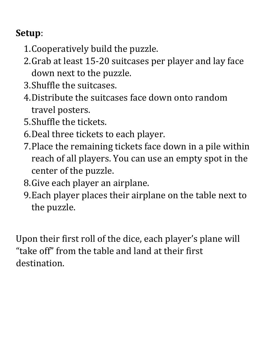### **Setup**:

- 1.Cooperatively build the puzzle.
- 2.Grab at least 15-20 suitcases per player and lay face down next to the puzzle.
- 3.Shuffle the suitcases.
- 4.Distribute the suitcases face down onto random travel posters.
- 5.Shuffle the tickets.
- 6.Deal three tickets to each player.
- 7.Place the remaining tickets face down in a pile within reach of all players. You can use an empty spot in the center of the puzzle.
- 8.Give each player an airplane.
- 9.Each player places their airplane on the table next to the puzzle.

Upon their first roll of the dice, each player's plane will "take off" from the table and land at their first destination.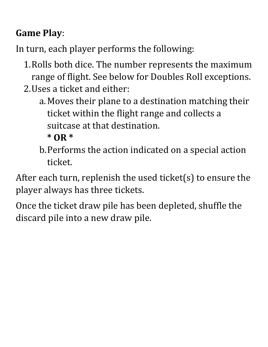## **Game Play**:

In turn, each player performs the following:

- 1.Rolls both dice. The number represents the maximum range of flight. See below for Doubles Roll exceptions.
- 2.Uses a ticket and either:
	- a.Moves their plane to a destination matching their ticket within the flight range and collects a suitcase at that destination.
		- **\* OR \***
	- b.Performs the action indicated on a special action ticket.

After each turn, replenish the used ticket(s) to ensure the player always has three tickets.

Once the ticket draw pile has been depleted, shuffle the discard pile into a new draw pile.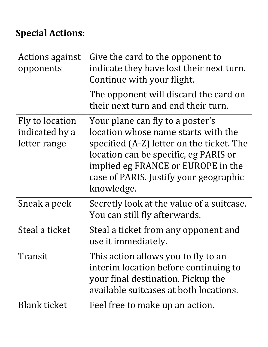# **Special Actions:**

| Actions against<br>opponents                      | Give the card to the opponent to<br>indicate they have lost their next turn.<br>Continue with your flight.<br>The opponent will discard the card on                                                                                                         |
|---------------------------------------------------|-------------------------------------------------------------------------------------------------------------------------------------------------------------------------------------------------------------------------------------------------------------|
|                                                   | their next turn and end their turn.                                                                                                                                                                                                                         |
| Fly to location<br>indicated by a<br>letter range | Your plane can fly to a poster's<br>location whose name starts with the<br>specified (A-Z) letter on the ticket. The<br>location can be specific, eg PARIS or<br>implied eg FRANCE or EUROPE in the<br>case of PARIS. Justify your geographic<br>knowledge. |
| Sneak a peek                                      | Secretly look at the value of a suitcase.<br>You can still fly afterwards.                                                                                                                                                                                  |
| Steal a ticket                                    | Steal a ticket from any opponent and<br>use it immediately.                                                                                                                                                                                                 |
| Transit                                           | This action allows you to fly to an<br>interim location before continuing to<br>your final destination. Pickup the<br>available suitcases at both locations.                                                                                                |
| <b>Blank ticket</b>                               | Feel free to make up an action.                                                                                                                                                                                                                             |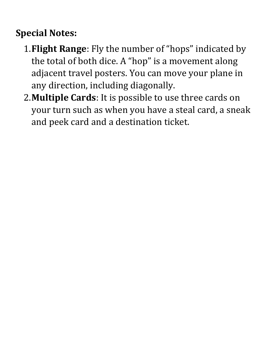# **Special Notes:**

- 1.**Flight Range**: Fly the number of "hops" indicated by the total of both dice. A "hop" is a movement along adjacent travel posters. You can move your plane in any direction, including diagonally.
- 2.**Multiple Cards**: It is possible to use three cards on your turn such as when you have a steal card, a sneak and peek card and a destination ticket.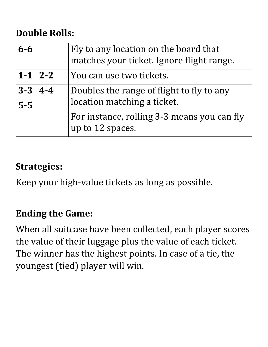### **Double Rolls:**

| $6 - 6$                | Fly to any location on the board that<br>matches your ticket. Ignore flight range. |
|------------------------|------------------------------------------------------------------------------------|
| $1 - 1$ 2 - 2          | You can use two tickets.                                                           |
| $3 - 3$ 4-4<br>$5 - 5$ | Doubles the range of flight to fly to any<br>location matching a ticket.           |
|                        | For instance, rolling 3-3 means you can fly<br>up to 12 spaces.                    |

#### **Strategies:**

Keep your high-value tickets as long as possible.

#### **Ending the Game:**

When all suitcase have been collected, each player scores the value of their luggage plus the value of each ticket. The winner has the highest points. In case of a tie, the youngest (tied) player will win.